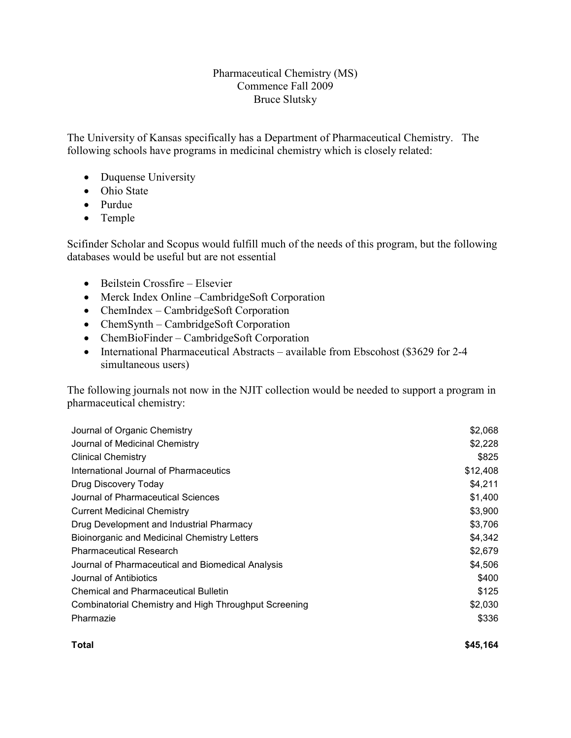## Pharmaceutical Chemistry (MS) Commence Fall 2009 Bruce Slutsky

The University of Kansas specifically has a Department of Pharmaceutical Chemistry. The following schools have programs in medicinal chemistry which is closely related:

- Duquense University
- Ohio State
- Purdue
- Temple

Scifinder Scholar and Scopus would fulfill much of the needs of this program, but the following databases would be useful but are not essential

- Beilstein Crossfire Elsevier
- Merck Index Online –CambridgeSoft Corporation
- ChemIndex CambridgeSoft Corporation
- ChemSynth CambridgeSoft Corporation
- ChemBioFinder CambridgeSoft Corporation
- International Pharmaceutical Abstracts available from Ebscohost (\$3629 for 2-4) simultaneous users)

The following journals not now in the NJIT collection would be needed to support a program in pharmaceutical chemistry:

| Journal of Organic Chemistry                          | \$2,068  |
|-------------------------------------------------------|----------|
| Journal of Medicinal Chemistry                        | \$2,228  |
| <b>Clinical Chemistry</b>                             | \$825    |
| International Journal of Pharmaceutics                | \$12,408 |
| Drug Discovery Today                                  | \$4,211  |
| Journal of Pharmaceutical Sciences                    | \$1,400  |
| <b>Current Medicinal Chemistry</b>                    | \$3,900  |
| Drug Development and Industrial Pharmacy              | \$3,706  |
| Bioinorganic and Medicinal Chemistry Letters          | \$4,342  |
| <b>Pharmaceutical Research</b>                        | \$2,679  |
| Journal of Pharmaceutical and Biomedical Analysis     | \$4,506  |
| Journal of Antibiotics                                | \$400    |
| <b>Chemical and Pharmaceutical Bulletin</b>           | \$125    |
| Combinatorial Chemistry and High Throughput Screening | \$2,030  |
| Pharmazie                                             | \$336    |
|                                                       |          |